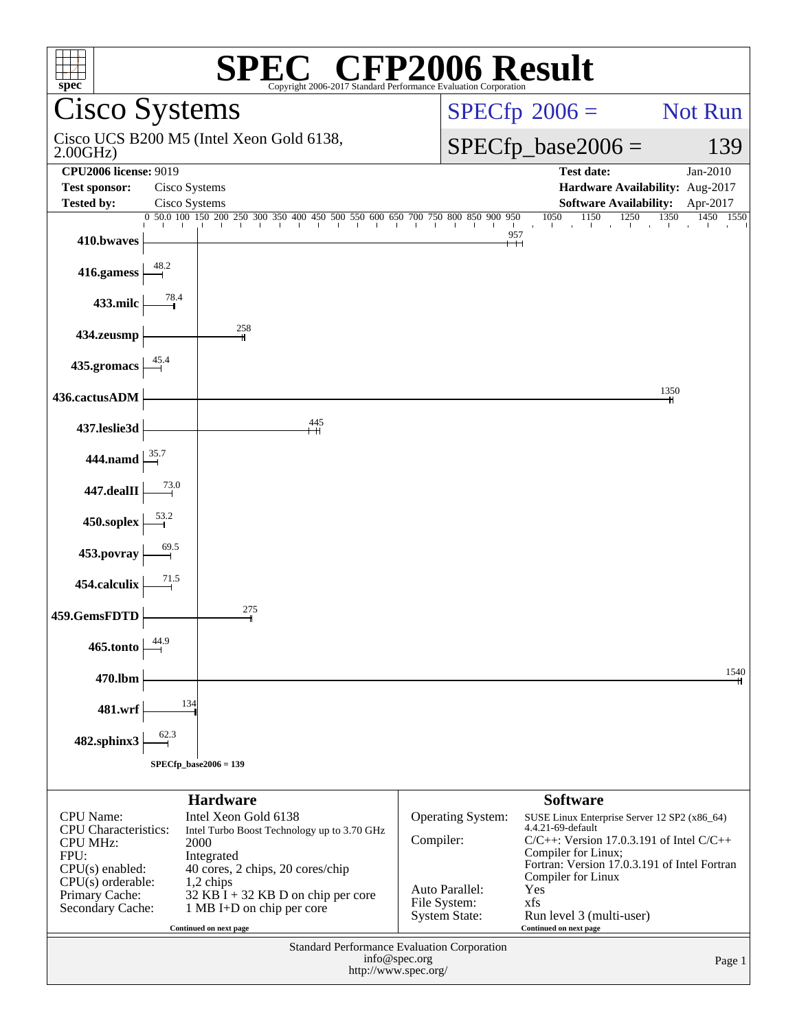| <b>SPEC<sup>®</sup></b> CFP2006 Result<br>spec <sup>®</sup><br>Copyright 2006-2017 Standard Performance Evaluation Corporation |                                                                     |                                      |                                                                      |                |  |  |
|--------------------------------------------------------------------------------------------------------------------------------|---------------------------------------------------------------------|--------------------------------------|----------------------------------------------------------------------|----------------|--|--|
|                                                                                                                                | Cisco Systems                                                       |                                      | $SPECfp^{\circledcirc}2006 =$                                        | <b>Not Run</b> |  |  |
| 2.00GHz                                                                                                                        | Cisco UCS B200 M5 (Intel Xeon Gold 6138,                            |                                      | $SPECfp\_base2006 =$                                                 | 139            |  |  |
| <b>CPU2006 license: 9019</b>                                                                                                   |                                                                     |                                      | <b>Test date:</b>                                                    | Jan-2010       |  |  |
| <b>Test sponsor:</b><br><b>Tested by:</b>                                                                                      | Cisco Systems<br>Cisco Systems                                      |                                      | Hardware Availability: Aug-2017<br><b>Software Availability:</b>     | Apr-2017       |  |  |
|                                                                                                                                |                                                                     |                                      | 1050<br>1150<br>1350<br>1250                                         | 1450 1550      |  |  |
| 410.bwaves                                                                                                                     |                                                                     |                                      | 957                                                                  |                |  |  |
| 416.gamess                                                                                                                     | 48.2                                                                |                                      |                                                                      |                |  |  |
| 433.milc                                                                                                                       | 78.4                                                                |                                      |                                                                      |                |  |  |
| 434.zeusmp                                                                                                                     | 258                                                                 |                                      |                                                                      |                |  |  |
| 435.gromacs                                                                                                                    |                                                                     |                                      |                                                                      |                |  |  |
| 436.cactusADM                                                                                                                  |                                                                     |                                      | 1350                                                                 |                |  |  |
| 437.leslie3d                                                                                                                   | 445                                                                 |                                      |                                                                      |                |  |  |
| 444.namd                                                                                                                       |                                                                     |                                      |                                                                      |                |  |  |
| $447$ .dealII                                                                                                                  |                                                                     |                                      |                                                                      |                |  |  |
| 450.soplex                                                                                                                     |                                                                     |                                      |                                                                      |                |  |  |
| 453.povray                                                                                                                     |                                                                     |                                      |                                                                      |                |  |  |
| 454.calculix                                                                                                                   |                                                                     |                                      |                                                                      |                |  |  |
| 459.GemsFDTD                                                                                                                   | 275                                                                 |                                      |                                                                      |                |  |  |
| 465.tonto                                                                                                                      | 44.9                                                                |                                      |                                                                      |                |  |  |
| 470.lbm                                                                                                                        |                                                                     |                                      |                                                                      | 1540           |  |  |
| 481.wrf                                                                                                                        | 134                                                                 |                                      |                                                                      |                |  |  |
| 482.sphinx3                                                                                                                    | 62.3                                                                |                                      |                                                                      |                |  |  |
|                                                                                                                                | $SPECfp\_base2006 = 139$                                            |                                      |                                                                      |                |  |  |
|                                                                                                                                | <b>Hardware</b>                                                     |                                      | <b>Software</b>                                                      |                |  |  |
| <b>CPU</b> Name:<br><b>CPU</b> Characteristics:                                                                                | Intel Xeon Gold 6138<br>Intel Turbo Boost Technology up to 3.70 GHz | Operating System:                    | SUSE Linux Enterprise Server 12 SP2 (x86_64)<br>4.4.21-69-default    |                |  |  |
| <b>CPU MHz:</b>                                                                                                                | 2000                                                                | Compiler:                            | $C/C++$ : Version 17.0.3.191 of Intel $C/C++$<br>Compiler for Linux; |                |  |  |
| FPU:<br>$CPU(s)$ enabled:                                                                                                      | Integrated<br>40 cores, 2 chips, 20 cores/chip                      |                                      | Fortran: Version 17.0.3.191 of Intel Fortran                         |                |  |  |
| $CPU(s)$ orderable:<br>Primary Cache:                                                                                          | 1,2 chips<br>$32$ KB I + 32 KB D on chip per core                   | Auto Parallel:                       | Compiler for Linux<br>Yes                                            |                |  |  |
| Secondary Cache:                                                                                                               | 1 MB I+D on chip per core                                           | File System:<br><b>System State:</b> | xfs<br>Run level 3 (multi-user)                                      |                |  |  |
|                                                                                                                                | Continued on next page                                              |                                      | Continued on next page                                               |                |  |  |
| Standard Performance Evaluation Corporation<br>info@spec.org<br>Page 1                                                         |                                                                     |                                      |                                                                      |                |  |  |
| http://www.spec.org/                                                                                                           |                                                                     |                                      |                                                                      |                |  |  |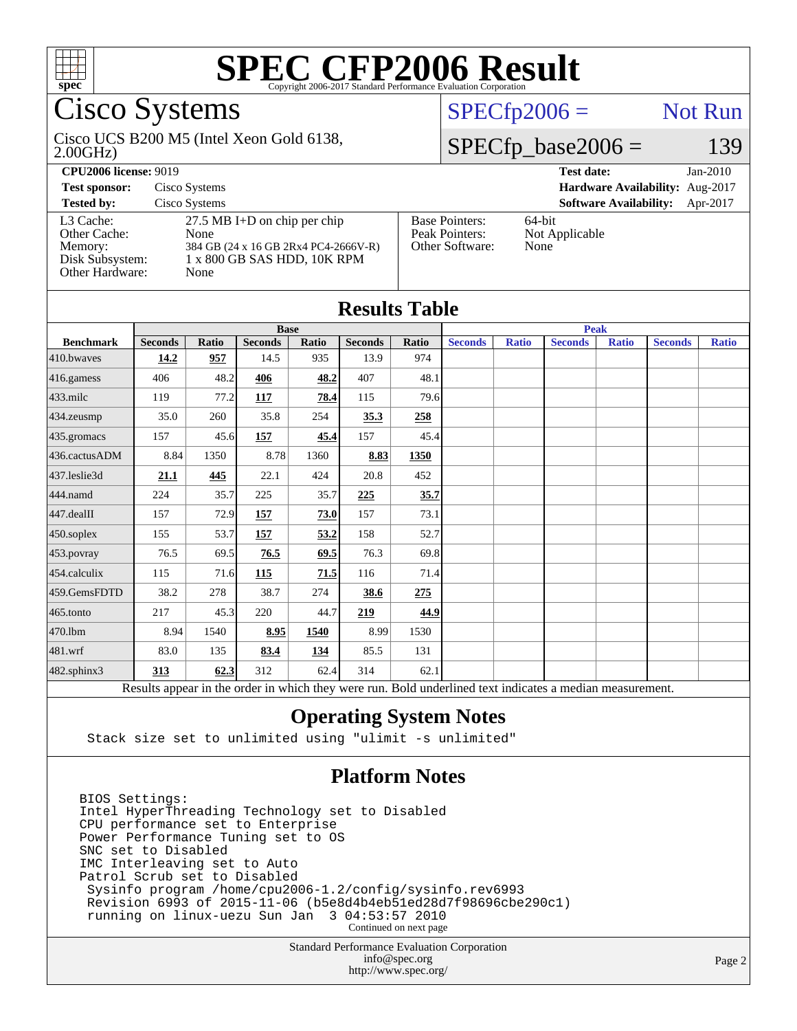

## Cisco Systems

#### 2.00GHz) Cisco UCS B200 M5 (Intel Xeon Gold 6138,

### $SPECfp2006 =$  Not Run

### $SPECfp\_base2006 = 139$

| <b>CPU2006 license: 9019</b>                                               |                                                                                                                       | <b>Test date:</b><br>$Jan-2010$                            |                                           |
|----------------------------------------------------------------------------|-----------------------------------------------------------------------------------------------------------------------|------------------------------------------------------------|-------------------------------------------|
| <b>Test sponsor:</b>                                                       | Cisco Systems                                                                                                         |                                                            | Hardware Availability: Aug-2017           |
| <b>Tested by:</b>                                                          | Cisco Systems                                                                                                         |                                                            | <b>Software Availability:</b><br>Apr-2017 |
| L3 Cache:<br>Other Cache:<br>Memory:<br>Disk Subsystem:<br>Other Hardware: | $27.5$ MB I+D on chip per chip<br>None<br>384 GB (24 x 16 GB 2Rx4 PC4-2666V-R)<br>1 x 800 GB SAS HDD, 10K RPM<br>None | <b>Base Pointers:</b><br>Peak Pointers:<br>Other Software: | $64$ -bit<br>Not Applicable<br>None       |

| <b>Results Table</b>   |                |              |                |       |                |       |                |              |                                                                                                          |              |                |              |
|------------------------|----------------|--------------|----------------|-------|----------------|-------|----------------|--------------|----------------------------------------------------------------------------------------------------------|--------------|----------------|--------------|
|                        | <b>Base</b>    |              |                |       | <b>Peak</b>    |       |                |              |                                                                                                          |              |                |              |
| <b>Benchmark</b>       | <b>Seconds</b> | <b>Ratio</b> | <b>Seconds</b> | Ratio | <b>Seconds</b> | Ratio | <b>Seconds</b> | <b>Ratio</b> | <b>Seconds</b>                                                                                           | <b>Ratio</b> | <b>Seconds</b> | <b>Ratio</b> |
| $410$ .bwayes          | 14.2           | 957          | 14.5           | 935   | 13.9           | 974   |                |              |                                                                                                          |              |                |              |
| 416.gamess             | 406            | 48.2         | 406            | 48.2  | 407            | 48.1  |                |              |                                                                                                          |              |                |              |
| $433$ .milc            | 119            | 77.2         | 117            | 78.4  | 115            | 79.6  |                |              |                                                                                                          |              |                |              |
| $434$ . zeusmp         | 35.0           | 260          | 35.8           | 254   | 35.3           | 258   |                |              |                                                                                                          |              |                |              |
| 435.gromacs            | 157            | 45.6         | 157            | 45.4  | 157            | 45.4  |                |              |                                                                                                          |              |                |              |
| 436.cactusADM          | 8.84           | 1350         | 8.78           | 1360  | 8.83           | 1350  |                |              |                                                                                                          |              |                |              |
| 437.leslie3d           | 21.1           | 445          | 22.1           | 424   | 20.8           | 452   |                |              |                                                                                                          |              |                |              |
| 444.namd               | 224            | 35.7         | 225            | 35.7  | 225            | 35.7  |                |              |                                                                                                          |              |                |              |
| $ 447 \text{.}$ dealII | 157            | 72.9         | 157            | 73.0  | 157            | 73.1  |                |              |                                                                                                          |              |                |              |
| $450$ .soplex          | 155            | 53.7         | 157            | 53.2  | 158            | 52.7  |                |              |                                                                                                          |              |                |              |
| 453.povray             | 76.5           | 69.5         | 76.5           | 69.5  | 76.3           | 69.8  |                |              |                                                                                                          |              |                |              |
| $454$ .calculix        | 115            | 71.6         | 115            | 71.5  | 116            | 71.4  |                |              |                                                                                                          |              |                |              |
| 459.GemsFDTD           | 38.2           | 278          | 38.7           | 274   | 38.6           | 275   |                |              |                                                                                                          |              |                |              |
| $465$ .tonto           | 217            | 45.3         | 220            | 44.7  | 219            | 44.9  |                |              |                                                                                                          |              |                |              |
| 470.1bm                | 8.94           | 1540         | 8.95           | 1540  | 8.99           | 1530  |                |              |                                                                                                          |              |                |              |
| $481$ .wrf             | 83.0           | 135          | 83.4           | 134   | 85.5           | 131   |                |              |                                                                                                          |              |                |              |
| 482.sphinx3            | 313            | 62.3         | 312            | 62.4  | 314            | 62.1  |                |              |                                                                                                          |              |                |              |
|                        |                |              |                |       |                |       |                |              | Results appear in the order in which they were run. Bold underlined text indicates a median measurement. |              |                |              |

#### **[Operating System Notes](http://www.spec.org/auto/cpu2006/Docs/result-fields.html#OperatingSystemNotes)**

Stack size set to unlimited using "ulimit -s unlimited"

#### **[Platform Notes](http://www.spec.org/auto/cpu2006/Docs/result-fields.html#PlatformNotes)**

BIOS Settings: Intel HyperThreading Technology set to Disabled CPU performance set to Enterprise Power Performance Tuning set to OS SNC set to Disabled IMC Interleaving set to Auto Patrol Scrub set to Disabled Sysinfo program /home/cpu2006-1.2/config/sysinfo.rev6993 Revision 6993 of 2015-11-06 (b5e8d4b4eb51ed28d7f98696cbe290c1) running on linux-uezu Sun Jan 3 04:53:57 2010 Continued on next page

> Standard Performance Evaluation Corporation [info@spec.org](mailto:info@spec.org) <http://www.spec.org/>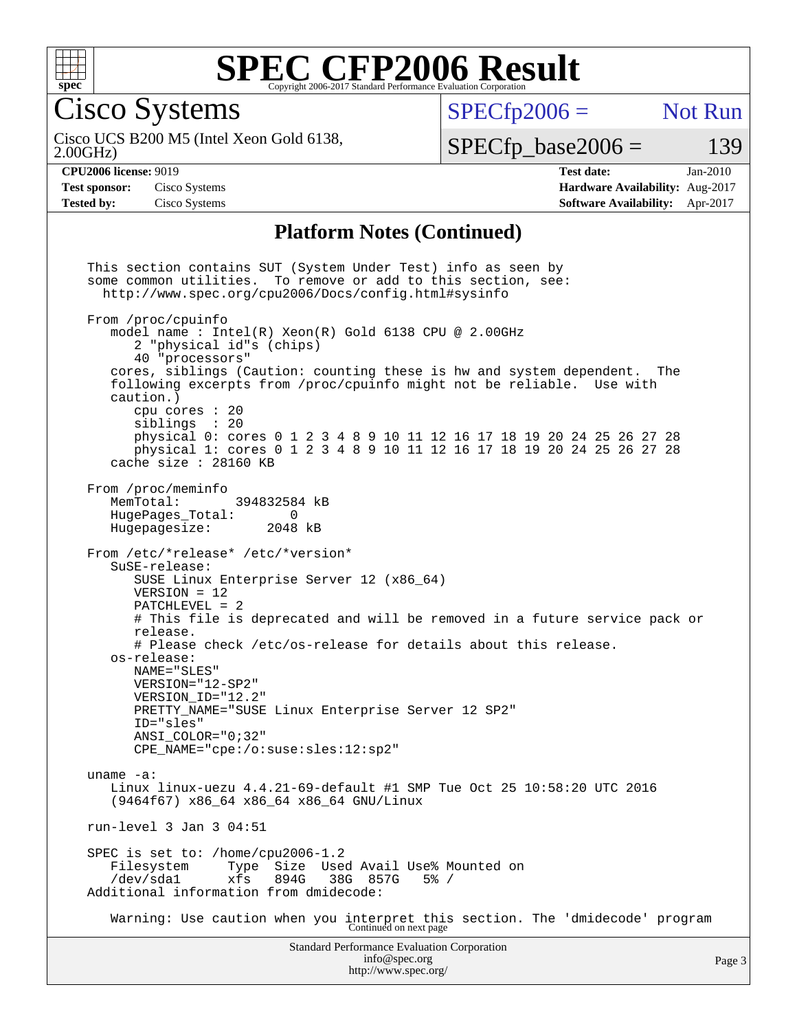

Cisco Systems

 $SPECTp2006 =$  Not Run

2.00GHz) Cisco UCS B200 M5 (Intel Xeon Gold 6138,

 $SPECfp\_base2006 = 139$ 

**[CPU2006 license:](http://www.spec.org/auto/cpu2006/Docs/result-fields.html#CPU2006license)** 9019 **[Test date:](http://www.spec.org/auto/cpu2006/Docs/result-fields.html#Testdate)** Jan-2010 **[Test sponsor:](http://www.spec.org/auto/cpu2006/Docs/result-fields.html#Testsponsor)** Cisco Systems **[Hardware Availability:](http://www.spec.org/auto/cpu2006/Docs/result-fields.html#HardwareAvailability)** Aug-2017 **[Tested by:](http://www.spec.org/auto/cpu2006/Docs/result-fields.html#Testedby)** Cisco Systems **[Software Availability:](http://www.spec.org/auto/cpu2006/Docs/result-fields.html#SoftwareAvailability)** Apr-2017

#### **[Platform Notes \(Continued\)](http://www.spec.org/auto/cpu2006/Docs/result-fields.html#PlatformNotes)**

Standard Performance Evaluation Corporation [info@spec.org](mailto:info@spec.org) This section contains SUT (System Under Test) info as seen by some common utilities. To remove or add to this section, see: <http://www.spec.org/cpu2006/Docs/config.html#sysinfo> From /proc/cpuinfo model name : Intel(R) Xeon(R) Gold 6138 CPU @ 2.00GHz 2 "physical id"s (chips) 40 "processors" cores, siblings (Caution: counting these is hw and system dependent. The following excerpts from /proc/cpuinfo might not be reliable. Use with caution.) cpu cores : 20 siblings : 20 physical 0: cores 0 1 2 3 4 8 9 10 11 12 16 17 18 19 20 24 25 26 27 28 physical 1: cores 0 1 2 3 4 8 9 10 11 12 16 17 18 19 20 24 25 26 27 28 cache size : 28160 KB From /proc/meminfo<br>MemTotal: 394832584 kB HugePages\_Total: 0<br>Hugepagesize: 2048 kB Hugepagesize: From /etc/\*release\* /etc/\*version\* SuSE-release: SUSE Linux Enterprise Server 12 (x86\_64) VERSION = 12 PATCHLEVEL = 2 # This file is deprecated and will be removed in a future service pack or release. # Please check /etc/os-release for details about this release. os-release: NAME="SLES" VERSION="12-SP2" VERSION\_ID="12.2" PRETTY\_NAME="SUSE Linux Enterprise Server 12 SP2" ID="sles" ANSI\_COLOR="0;32" CPE\_NAME="cpe:/o:suse:sles:12:sp2" uname -a: Linux linux-uezu 4.4.21-69-default #1 SMP Tue Oct 25 10:58:20 UTC 2016 (9464f67) x86\_64 x86\_64 x86\_64 GNU/Linux run-level 3 Jan 3 04:51 SPEC is set to: /home/cpu2006-1.2 Filesystem Type Size Used Avail Use% Mounted on<br>/dev/sdal xfs 894G 38G 857G 5% / /dev/sda1 xfs 894G 38G 857G 5% / Additional information from dmidecode: Warning: Use caution when you interpret this section. The 'dmidecode' program Continued on next page

<http://www.spec.org/>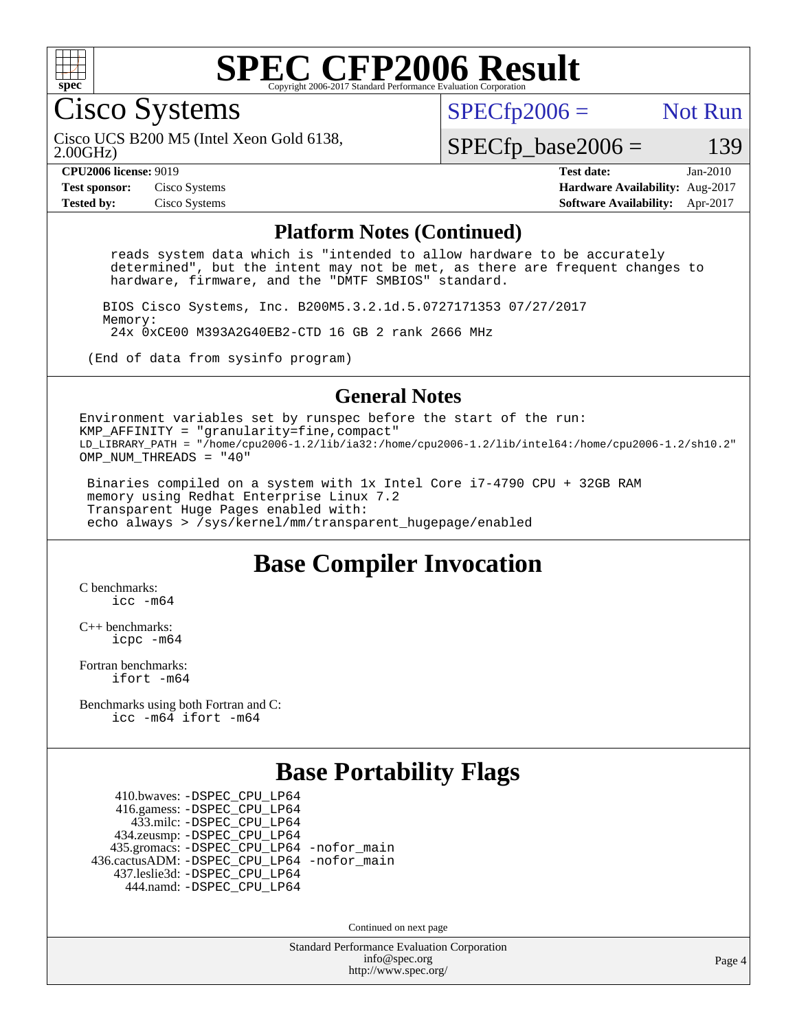

Cisco Systems

 $SPECTp2006 =$  Not Run

2.00GHz) Cisco UCS B200 M5 (Intel Xeon Gold 6138,

 $SPECfp\_base2006 = 139$ 

**[CPU2006 license:](http://www.spec.org/auto/cpu2006/Docs/result-fields.html#CPU2006license)** 9019 **[Test date:](http://www.spec.org/auto/cpu2006/Docs/result-fields.html#Testdate)** Jan-2010 **[Test sponsor:](http://www.spec.org/auto/cpu2006/Docs/result-fields.html#Testsponsor)** Cisco Systems **[Hardware Availability:](http://www.spec.org/auto/cpu2006/Docs/result-fields.html#HardwareAvailability)** Aug-2017 **[Tested by:](http://www.spec.org/auto/cpu2006/Docs/result-fields.html#Testedby)** Cisco Systems **[Software Availability:](http://www.spec.org/auto/cpu2006/Docs/result-fields.html#SoftwareAvailability)** Apr-2017

#### **[Platform Notes \(Continued\)](http://www.spec.org/auto/cpu2006/Docs/result-fields.html#PlatformNotes)**

 reads system data which is "intended to allow hardware to be accurately determined", but the intent may not be met, as there are frequent changes to hardware, firmware, and the "DMTF SMBIOS" standard.

 BIOS Cisco Systems, Inc. B200M5.3.2.1d.5.0727171353 07/27/2017 Memory: 24x 0xCE00 M393A2G40EB2-CTD 16 GB 2 rank 2666 MHz

(End of data from sysinfo program)

#### **[General Notes](http://www.spec.org/auto/cpu2006/Docs/result-fields.html#GeneralNotes)**

Environment variables set by runspec before the start of the run: KMP AFFINITY = "granularity=fine, compact" LD\_LIBRARY\_PATH = "/home/cpu2006-1.2/lib/ia32:/home/cpu2006-1.2/lib/intel64:/home/cpu2006-1.2/sh10.2" OMP NUM THREADS =  $"40"$ 

 Binaries compiled on a system with 1x Intel Core i7-4790 CPU + 32GB RAM memory using Redhat Enterprise Linux 7.2 Transparent Huge Pages enabled with: echo always > /sys/kernel/mm/transparent\_hugepage/enabled

### **[Base Compiler Invocation](http://www.spec.org/auto/cpu2006/Docs/result-fields.html#BaseCompilerInvocation)**

[C benchmarks](http://www.spec.org/auto/cpu2006/Docs/result-fields.html#Cbenchmarks): [icc -m64](http://www.spec.org/cpu2006/results/res2017q4/cpu2006-20170919-50222.flags.html#user_CCbase_intel_icc_64bit_bda6cc9af1fdbb0edc3795bac97ada53)

[C++ benchmarks:](http://www.spec.org/auto/cpu2006/Docs/result-fields.html#CXXbenchmarks) [icpc -m64](http://www.spec.org/cpu2006/results/res2017q4/cpu2006-20170919-50222.flags.html#user_CXXbase_intel_icpc_64bit_fc66a5337ce925472a5c54ad6a0de310)

[Fortran benchmarks](http://www.spec.org/auto/cpu2006/Docs/result-fields.html#Fortranbenchmarks): [ifort -m64](http://www.spec.org/cpu2006/results/res2017q4/cpu2006-20170919-50222.flags.html#user_FCbase_intel_ifort_64bit_ee9d0fb25645d0210d97eb0527dcc06e)

[Benchmarks using both Fortran and C](http://www.spec.org/auto/cpu2006/Docs/result-fields.html#BenchmarksusingbothFortranandC): [icc -m64](http://www.spec.org/cpu2006/results/res2017q4/cpu2006-20170919-50222.flags.html#user_CC_FCbase_intel_icc_64bit_bda6cc9af1fdbb0edc3795bac97ada53) [ifort -m64](http://www.spec.org/cpu2006/results/res2017q4/cpu2006-20170919-50222.flags.html#user_CC_FCbase_intel_ifort_64bit_ee9d0fb25645d0210d97eb0527dcc06e)

### **[Base Portability Flags](http://www.spec.org/auto/cpu2006/Docs/result-fields.html#BasePortabilityFlags)**

 410.bwaves: [-DSPEC\\_CPU\\_LP64](http://www.spec.org/cpu2006/results/res2017q4/cpu2006-20170919-50222.flags.html#suite_basePORTABILITY410_bwaves_DSPEC_CPU_LP64) 416.gamess: [-DSPEC\\_CPU\\_LP64](http://www.spec.org/cpu2006/results/res2017q4/cpu2006-20170919-50222.flags.html#suite_basePORTABILITY416_gamess_DSPEC_CPU_LP64) 433.milc: [-DSPEC\\_CPU\\_LP64](http://www.spec.org/cpu2006/results/res2017q4/cpu2006-20170919-50222.flags.html#suite_basePORTABILITY433_milc_DSPEC_CPU_LP64) 434.zeusmp: [-DSPEC\\_CPU\\_LP64](http://www.spec.org/cpu2006/results/res2017q4/cpu2006-20170919-50222.flags.html#suite_basePORTABILITY434_zeusmp_DSPEC_CPU_LP64) 435.gromacs: [-DSPEC\\_CPU\\_LP64](http://www.spec.org/cpu2006/results/res2017q4/cpu2006-20170919-50222.flags.html#suite_basePORTABILITY435_gromacs_DSPEC_CPU_LP64) [-nofor\\_main](http://www.spec.org/cpu2006/results/res2017q4/cpu2006-20170919-50222.flags.html#user_baseLDPORTABILITY435_gromacs_f-nofor_main) 436.cactusADM: [-DSPEC\\_CPU\\_LP64](http://www.spec.org/cpu2006/results/res2017q4/cpu2006-20170919-50222.flags.html#suite_basePORTABILITY436_cactusADM_DSPEC_CPU_LP64) [-nofor\\_main](http://www.spec.org/cpu2006/results/res2017q4/cpu2006-20170919-50222.flags.html#user_baseLDPORTABILITY436_cactusADM_f-nofor_main) 437.leslie3d: [-DSPEC\\_CPU\\_LP64](http://www.spec.org/cpu2006/results/res2017q4/cpu2006-20170919-50222.flags.html#suite_basePORTABILITY437_leslie3d_DSPEC_CPU_LP64) 444.namd: [-DSPEC\\_CPU\\_LP64](http://www.spec.org/cpu2006/results/res2017q4/cpu2006-20170919-50222.flags.html#suite_basePORTABILITY444_namd_DSPEC_CPU_LP64)

Continued on next page

Standard Performance Evaluation Corporation [info@spec.org](mailto:info@spec.org) <http://www.spec.org/>